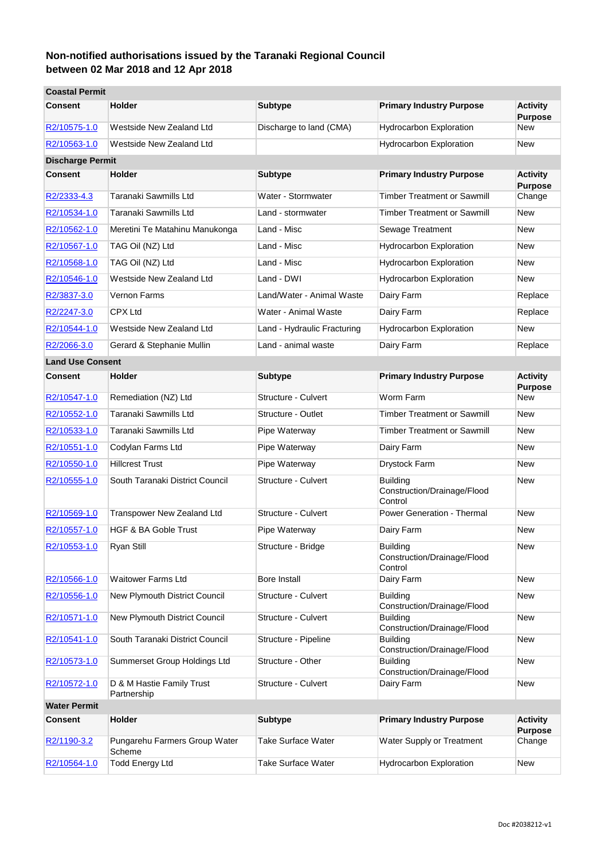| <b>Coastal Permit</b>   |                                          |                             |                                                           |                                   |
|-------------------------|------------------------------------------|-----------------------------|-----------------------------------------------------------|-----------------------------------|
| <b>Consent</b>          | <b>Holder</b>                            | <b>Subtype</b>              | <b>Primary Industry Purpose</b>                           | <b>Activity</b><br><b>Purpose</b> |
| R2/10575-1.0            | Westside New Zealand Ltd                 | Discharge to land (CMA)     | <b>Hydrocarbon Exploration</b>                            | New                               |
| R2/10563-1.0            | Westside New Zealand Ltd                 |                             | <b>Hydrocarbon Exploration</b>                            | New                               |
| <b>Discharge Permit</b> |                                          |                             |                                                           |                                   |
| <b>Consent</b>          | <b>Holder</b>                            | <b>Subtype</b>              | <b>Primary Industry Purpose</b>                           | <b>Activity</b><br><b>Purpose</b> |
| R2/2333-4.3             | Taranaki Sawmills Ltd                    | Water - Stormwater          | <b>Timber Treatment or Sawmill</b>                        | Change                            |
| R2/10534-1.0            | Taranaki Sawmills Ltd                    | Land - stormwater           | <b>Timber Treatment or Sawmill</b>                        | New                               |
| R2/10562-1.0            | Meretini Te Matahinu Manukonga           | Land - Misc                 | Sewage Treatment                                          | <b>New</b>                        |
| R2/10567-1.0            | TAG Oil (NZ) Ltd                         | Land - Misc                 | Hydrocarbon Exploration                                   | New                               |
| R2/10568-1.0            | TAG Oil (NZ) Ltd                         | Land - Misc                 | Hydrocarbon Exploration                                   | New                               |
| R2/10546-1.0            | Westside New Zealand Ltd                 | Land - DWI                  | Hydrocarbon Exploration                                   | New                               |
| R2/3837-3.0             | Vernon Farms                             | Land/Water - Animal Waste   | Dairy Farm                                                | Replace                           |
| R2/2247-3.0             | <b>CPX Ltd</b>                           | Water - Animal Waste        | Dairy Farm                                                | Replace                           |
| R2/10544-1.0            | Westside New Zealand Ltd                 | Land - Hydraulic Fracturing | <b>Hydrocarbon Exploration</b>                            | New                               |
| R2/2066-3.0             | Gerard & Stephanie Mullin                | Land - animal waste         | Dairy Farm                                                | Replace                           |
| <b>Land Use Consent</b> |                                          |                             |                                                           |                                   |
| <b>Consent</b>          | <b>Holder</b>                            | <b>Subtype</b>              | <b>Primary Industry Purpose</b>                           | <b>Activity</b><br><b>Purpose</b> |
| R2/10547-1.0            | Remediation (NZ) Ltd                     | Structure - Culvert         | Worm Farm                                                 | New                               |
| R2/10552-1.0            | Taranaki Sawmills Ltd                    | Structure - Outlet          | Timber Treatment or Sawmill                               | New                               |
| R2/10533-1.0            | Taranaki Sawmills Ltd                    | Pipe Waterway               | <b>Timber Treatment or Sawmill</b>                        | New                               |
| R2/10551-1.0            | Codylan Farms Ltd                        | Pipe Waterway               | Dairy Farm                                                | New                               |
| R2/10550-1.0            | <b>Hillcrest Trust</b>                   | Pipe Waterway               | Drystock Farm                                             | New                               |
| R2/10555-1.0            | South Taranaki District Council          | Structure - Culvert         | <b>Building</b><br>Construction/Drainage/Flood<br>Control | New                               |
| R2/10569-1.0            | Transpower New Zealand Ltd               | Structure - Culvert         | <b>Power Generation - Thermal</b>                         | New                               |
| R2/10557-1.0            | <b>HGF &amp; BA Goble Trust</b>          | Pipe Waterway               | Dairy Farm                                                | New                               |
| R2/10553-1.0            | Ryan Still                               | Structure - Bridge          | <b>Building</b><br>Construction/Drainage/Flood<br>Control | New                               |
| R2/10566-1.0            | Waitower Farms Ltd                       | <b>Bore Install</b>         | Dairy Farm                                                | <b>New</b>                        |
| R2/10556-1.0            | New Plymouth District Council            | Structure - Culvert         | <b>Building</b><br>Construction/Drainage/Flood            | New                               |
| R2/10571-1.0            | New Plymouth District Council            | Structure - Culvert         | <b>Building</b><br>Construction/Drainage/Flood            | New                               |
| R2/10541-1.0            | South Taranaki District Council          | Structure - Pipeline        | <b>Building</b><br>Construction/Drainage/Flood            | New                               |
| R2/10573-1.0            | Summerset Group Holdings Ltd             | Structure - Other           | <b>Building</b><br>Construction/Drainage/Flood            | New                               |
| R2/10572-1.0            | D & M Hastie Family Trust<br>Partnership | Structure - Culvert         | Dairy Farm                                                | New                               |
| <b>Water Permit</b>     |                                          |                             |                                                           |                                   |
| <b>Consent</b>          | Holder                                   | <b>Subtype</b>              | <b>Primary Industry Purpose</b>                           | <b>Activity</b><br><b>Purpose</b> |
| R2/1190-3.2             | Pungarehu Farmers Group Water<br>Scheme  | <b>Take Surface Water</b>   | Water Supply or Treatment                                 | Change                            |
| R2/10564-1.0            | <b>Todd Energy Ltd</b>                   | Take Surface Water          | <b>Hydrocarbon Exploration</b>                            | New                               |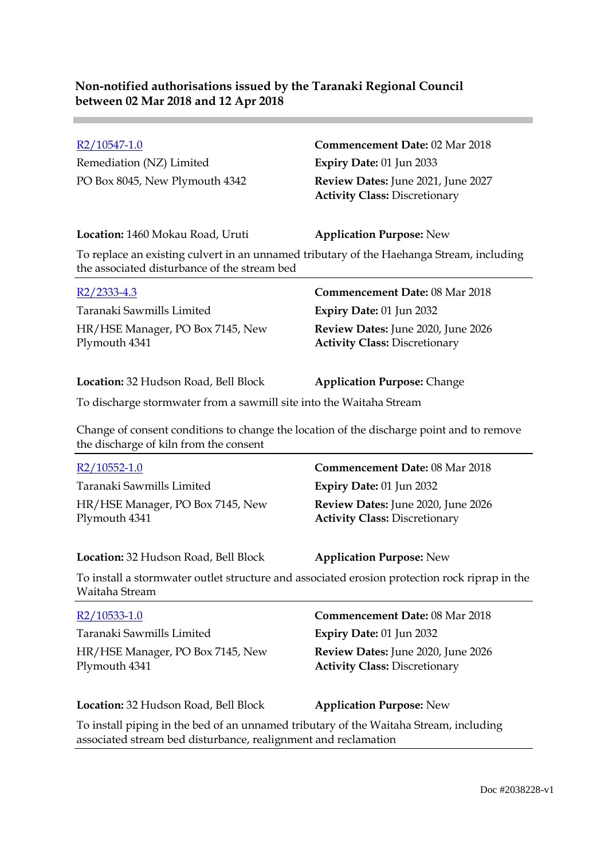Remediation (NZ) Limited **Expiry Date:** 01 Jun 2033

# R2/10547-1.0 **Commencement Date:** 02 Mar 2018 PO Box 8045, New Plymouth 4342 **Review Dates:** June 2021, June 2027 **Activity Class:** Discretionary

#### **Location:** 1460 Mokau Road, Uruti **Application Purpose:** New

To replace an existing culvert in an unnamed tributary of the Haehanga Stream, including the associated disturbance of the stream bed

| $R2/2333-4.3$                                     | <b>Commencement Date: 08 Mar 2018</b>                                             |
|---------------------------------------------------|-----------------------------------------------------------------------------------|
| Taranaki Sawmills Limited                         | Expiry Date: $01$ Jun 2032                                                        |
| HR/HSE Manager, PO Box 7145, New<br>Plymouth 4341 | <b>Review Dates:</b> June 2020, June 2026<br><b>Activity Class: Discretionary</b> |

**Location:** 32 Hudson Road, Bell Block **Application Purpose:** Change

To discharge stormwater from a sawmill site into the Waitaha Stream

Change of consent conditions to change the location of the discharge point and to remove the discharge of kiln from the consent

| R2/10552-1.0                                                                                                    | <b>Commencement Date: 08 Mar 2018</b>                                      |
|-----------------------------------------------------------------------------------------------------------------|----------------------------------------------------------------------------|
| Taranaki Sawmills Limited                                                                                       | Expiry Date: 01 Jun 2032                                                   |
| HR/HSE Manager, PO Box 7145, New<br>Plymouth 4341                                                               | Review Dates: June 2020, June 2026<br><b>Activity Class: Discretionary</b> |
| Location: 32 Hudson Road, Bell Block                                                                            | <b>Application Purpose: New</b>                                            |
| To install a stormwater outlet structure and associated erosion protection rock riprap in the<br>Waitaha Stream |                                                                            |
| R2/10533-1.0                                                                                                    | <b>Commencement Date: 08 Mar 2018</b>                                      |
| Taranaki Sawmills Limited                                                                                       | <b>Expiry Date: 01 Jun 2032</b>                                            |
| HR/HSE Manager, PO Box 7145, New<br>Plymouth 4341                                                               | Review Dates: June 2020, June 2026<br><b>Activity Class: Discretionary</b> |
| Location: 32 Hudson Road, Bell Block                                                                            | <b>Application Purpose: New</b>                                            |

To install piping in the bed of an unnamed tributary of the Waitaha Stream, including associated stream bed disturbance, realignment and reclamation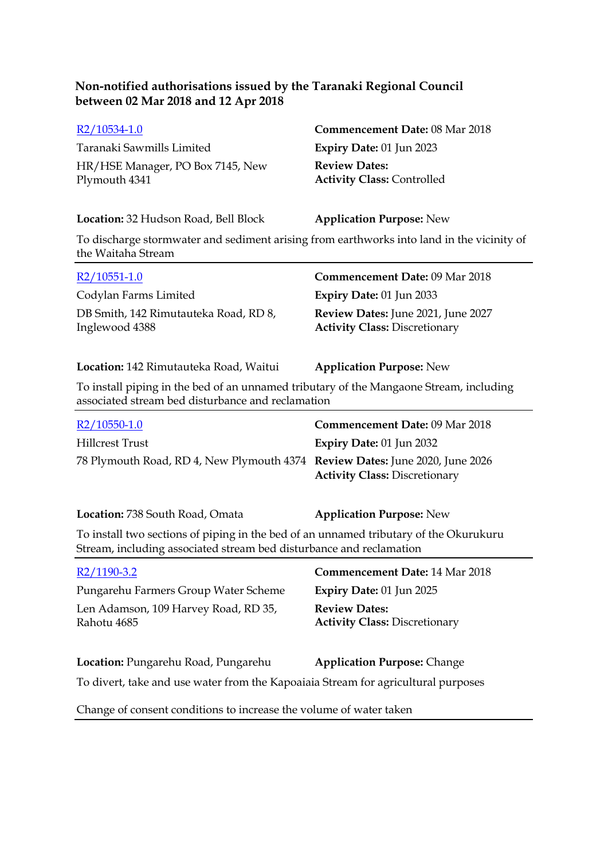Taranaki Sawmills Limited **Expiry Date:** 01 Jun 2023 HR/HSE Manager, PO Box 7145, New Plymouth 4341

# R2/10534-1.0 **Commencement Date:** 08 Mar 2018 **Review Dates: Activity Class:** Controlled

#### **Location:** 32 Hudson Road, Bell Block **Application Purpose:** New

To discharge stormwater and sediment arising from earthworks into land in the vicinity of the Waitaha Stream

| $R2/10551-1.0$                                          | <b>Commencement Date: 09 Mar 2018</b>                                      |
|---------------------------------------------------------|----------------------------------------------------------------------------|
| Codylan Farms Limited                                   | Expiry Date: $01$ Jun 2033                                                 |
| DB Smith, 142 Rimutauteka Road, RD 8,<br>Inglewood 4388 | Review Dates: June 2021, June 2027<br><b>Activity Class: Discretionary</b> |

#### **Location:** 142 Rimutauteka Road, Waitui **Application Purpose:** New

To install piping in the bed of an unnamed tributary of the Mangaone Stream, including associated stream bed disturbance and reclamation

| $R2/10550-1.0$                                                               | <b>Commencement Date: 09 Mar 2018</b> |
|------------------------------------------------------------------------------|---------------------------------------|
| Hillcrest Trust                                                              | Expiry Date: $01$ Jun 2032            |
| 78 Plymouth Road, RD 4, New Plymouth 4374 Review Dates: June 2020, June 2026 | <b>Activity Class: Discretionary</b>  |

| <b>Location:</b> 738 South Road, Omata | <b>Application Purpose: New</b> |
|----------------------------------------|---------------------------------|
|                                        |                                 |

To install two sections of piping in the bed of an unnamed tributary of the Okurukuru Stream, including associated stream bed disturbance and reclamation

| $R2/1190-3.2$                                                                     | <b>Commencement Date: 14 Mar 2018</b>                        |  |
|-----------------------------------------------------------------------------------|--------------------------------------------------------------|--|
| Pungarehu Farmers Group Water Scheme                                              | Expiry Date: 01 Jun 2025                                     |  |
| Len Adamson, 109 Harvey Road, RD 35,<br>Rahotu 4685                               | <b>Review Dates:</b><br><b>Activity Class: Discretionary</b> |  |
| Location: Pungarehu Road, Pungarehu                                               | <b>Application Purpose: Change</b>                           |  |
| To divert, take and use water from the Kapoaiaia Stream for agricultural purposes |                                                              |  |
| Change of consent conditions to increase the volume of water taken                |                                                              |  |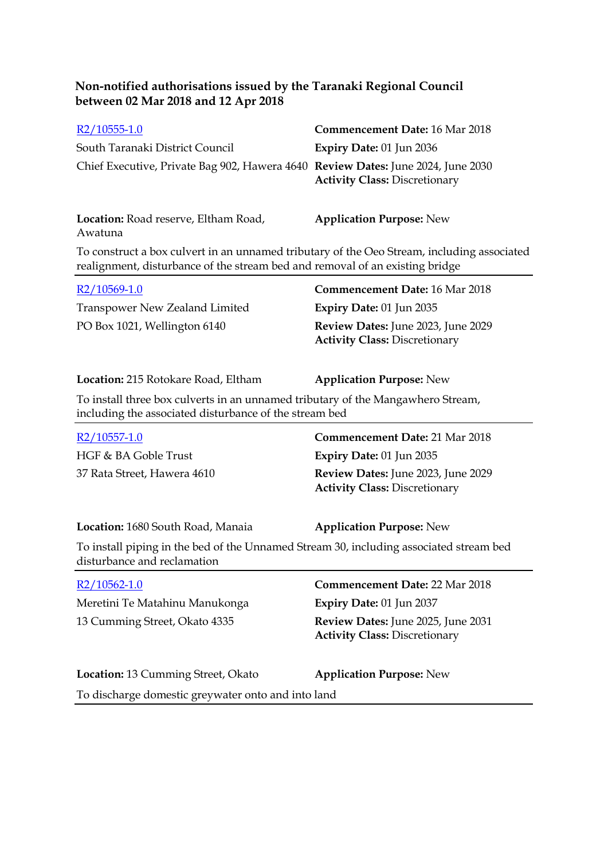| $R2/10555-1.0$                                                                   | <b>Commencement Date: 16 Mar 2018</b> |
|----------------------------------------------------------------------------------|---------------------------------------|
| South Taranaki District Council                                                  | Expiry Date: $01$ Jun 2036            |
| Chief Executive, Private Bag 902, Hawera 4640 Review Dates: June 2024, June 2030 | <b>Activity Class: Discretionary</b>  |

**Location:** Road reserve, Eltham Road, Awatuna **Application Purpose:** New

To construct a box culvert in an unnamed tributary of the Oeo Stream, including associated realignment, disturbance of the stream bed and removal of an existing bridge

| $R2/10569-1.0$                        | <b>Commencement Date: 16 Mar 2018</b>                                      |
|---------------------------------------|----------------------------------------------------------------------------|
| <b>Transpower New Zealand Limited</b> | Expiry Date: $01$ Jun 2035                                                 |
| PO Box 1021, Wellington 6140          | Review Dates: June 2023, June 2029<br><b>Activity Class: Discretionary</b> |

| Location: 215 Rotokare Road, Eltham |
|-------------------------------------|
|-------------------------------------|

**Application Purpose: New** 

To install three box culverts in an unnamed tributary of the Mangawhero Stream, including the associated disturbance of the stream bed

| R2/10557-1.0                | <b>Commencement Date: 21 Mar 2018</b>                                             |
|-----------------------------|-----------------------------------------------------------------------------------|
| HGF & BA Goble Trust        | Expiry Date: $01$ Jun 2035                                                        |
| 37 Rata Street, Hawera 4610 | <b>Review Dates:</b> June 2023, June 2029<br><b>Activity Class: Discretionary</b> |

**Location:** 1680 South Road, Manaia **Application Purpose:** New

To install piping in the bed of the Unnamed Stream 30, including associated stream bed disturbance and reclamation

| $R2/10562-1.0$                                     | <b>Commencement Date: 22 Mar 2018</b>                                      |
|----------------------------------------------------|----------------------------------------------------------------------------|
| Meretini Te Matahinu Manukonga                     | <b>Expiry Date: 01 Jun 2037</b>                                            |
| 13 Cumming Street, Okato 4335                      | Review Dates: June 2025, June 2031<br><b>Activity Class: Discretionary</b> |
| Location: 13 Cumming Street, Okato                 | <b>Application Purpose: New</b>                                            |
| To discharge domestic greywater onto and into land |                                                                            |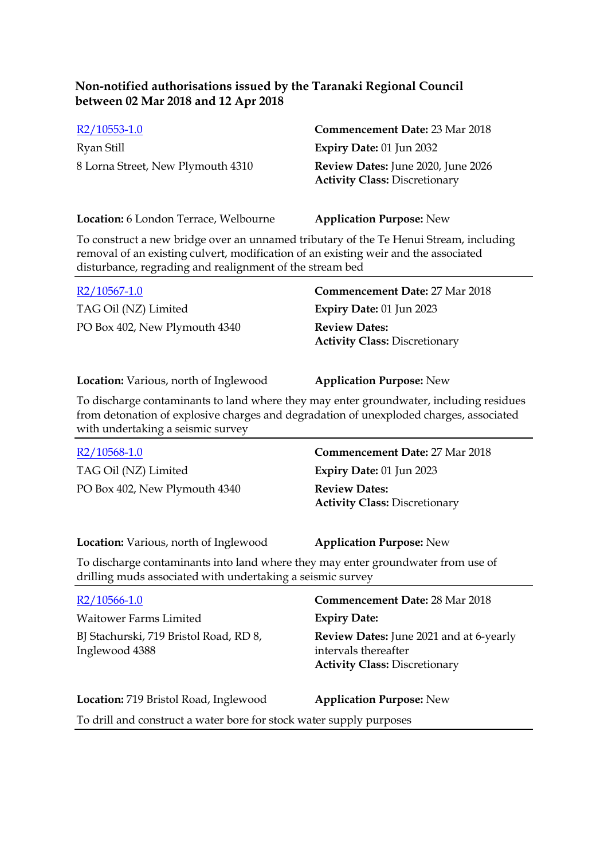| $R2/10553-1.0$                    | <b>Commencement Date: 23 Mar 2018</b>                                             |
|-----------------------------------|-----------------------------------------------------------------------------------|
| Ryan Still                        | Expiry Date: $01$ Jun 2032                                                        |
| 8 Lorna Street, New Plymouth 4310 | <b>Review Dates:</b> June 2020, June 2026<br><b>Activity Class: Discretionary</b> |

**Location:** 6 London Terrace, Welbourne **Application Purpose:** New

To construct a new bridge over an unnamed tributary of the Te Henui Stream, including removal of an existing culvert, modification of an existing weir and the associated disturbance, regrading and realignment of the stream bed

| $R2/10567-1.0$                | <b>Commencement Date: 27 Mar 2018</b>                        |
|-------------------------------|--------------------------------------------------------------|
| TAG Oil (NZ) Limited          | Expiry Date: $01$ Jun 2023                                   |
| PO Box 402, New Plymouth 4340 | <b>Review Dates:</b><br><b>Activity Class: Discretionary</b> |

**Location:** Various, north of Inglewood **Application Purpose:** New

To discharge contaminants to land where they may enter groundwater, including residues from detonation of explosive charges and degradation of unexploded charges, associated with undertaking a seismic survey

| $R2/10568-1.0$                                                                                                                                 | <b>Commencement Date: 27 Mar 2018</b>                        |  |
|------------------------------------------------------------------------------------------------------------------------------------------------|--------------------------------------------------------------|--|
| TAG Oil (NZ) Limited                                                                                                                           | Expiry Date: 01 Jun 2023                                     |  |
| PO Box 402, New Plymouth 4340                                                                                                                  | <b>Review Dates:</b><br><b>Activity Class: Discretionary</b> |  |
| <b>Location:</b> Various, north of Inglewood                                                                                                   | <b>Application Purpose: New</b>                              |  |
| To discharge contaminants into land where they may enter groundwater from use of<br>drilling muds associated with undertaking a seismic survey |                                                              |  |
| $R2/10566-1.0$                                                                                                                                 | <b>Commencement Date: 28 Mar 2018</b>                        |  |

Waitower Farms Limited **Expiry Date:** BJ Stachurski, 719 Bristol Road, RD 8, Inglewood 4388

**Review Dates:** June 2021 and at 6-yearly intervals thereafter **Activity Class:** Discretionary

| Location: 719 Bristol Road, Inglewood                               | <b>Application Purpose: New</b> |
|---------------------------------------------------------------------|---------------------------------|
| To drill and construct a water bore for stock water supply purposes |                                 |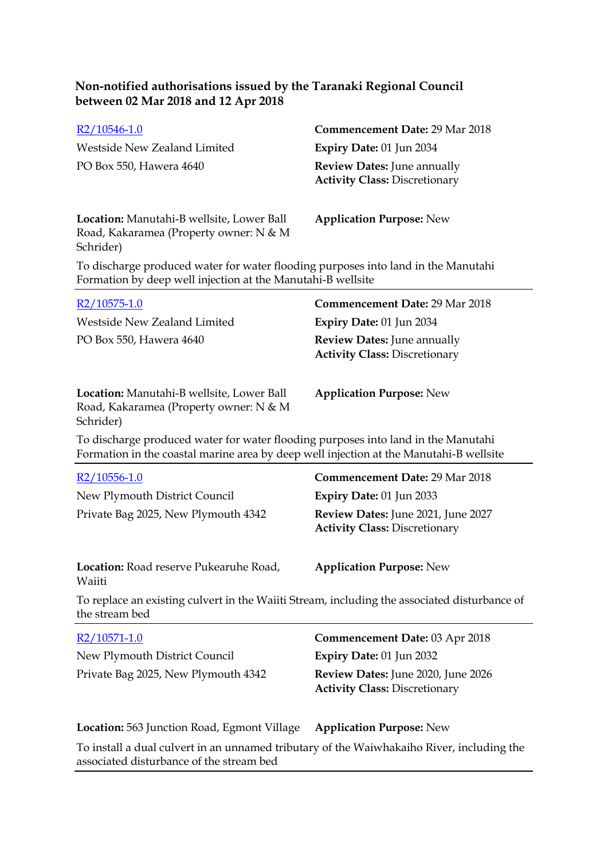| $R2/10546-1.0$<br>Westside New Zealand Limited<br>PO Box 550, Hawera 4640                                                                                                   | <b>Commencement Date: 29 Mar 2018</b><br>Expiry Date: 01 Jun 2034<br><b>Review Dates: June annually</b><br><b>Activity Class: Discretionary</b> |  |
|-----------------------------------------------------------------------------------------------------------------------------------------------------------------------------|-------------------------------------------------------------------------------------------------------------------------------------------------|--|
| Location: Manutahi-B wellsite, Lower Ball<br>Road, Kakaramea (Property owner: N & M<br>Schrider)                                                                            | <b>Application Purpose: New</b>                                                                                                                 |  |
| To discharge produced water for water flooding purposes into land in the Manutahi<br>Formation by deep well injection at the Manutahi-B wellsite                            |                                                                                                                                                 |  |
| R2/10575-1.0                                                                                                                                                                | <b>Commencement Date: 29 Mar 2018</b>                                                                                                           |  |
| Westside New Zealand Limited                                                                                                                                                | Expiry Date: 01 Jun 2034                                                                                                                        |  |
| PO Box 550, Hawera 4640                                                                                                                                                     | Review Dates: June annually<br><b>Activity Class: Discretionary</b>                                                                             |  |
| Location: Manutahi-B wellsite, Lower Ball<br>Road, Kakaramea (Property owner: N & M<br>Schrider)                                                                            | <b>Application Purpose: New</b>                                                                                                                 |  |
| To discharge produced water for water flooding purposes into land in the Manutahi<br>Formation in the coastal marine area by deep well injection at the Manutahi-B wellsite |                                                                                                                                                 |  |
| R2/10556-1.0                                                                                                                                                                | <b>Commencement Date: 29 Mar 2018</b>                                                                                                           |  |
| New Plymouth District Council                                                                                                                                               | <b>Expiry Date: 01 Jun 2033</b>                                                                                                                 |  |
| Private Bag 2025, New Plymouth 4342                                                                                                                                         | Review Dates: June 2021, June 2027<br><b>Activity Class: Discretionary</b>                                                                      |  |
| Location: Road reserve Pukearuhe Road,<br>Waiiti                                                                                                                            | <b>Application Purpose: New</b>                                                                                                                 |  |
| To replace an existing culvert in the Waiiti Stream, including the associated disturbance of<br>the stream bed                                                              |                                                                                                                                                 |  |
| $R2/10571-1.0$                                                                                                                                                              | <b>Commencement Date: 03 Apr 2018</b>                                                                                                           |  |
| New Plymouth District Council                                                                                                                                               | Expiry Date: 01 Jun 2032                                                                                                                        |  |
| Private Bag 2025, New Plymouth 4342                                                                                                                                         | Review Dates: June 2020, June 2026<br><b>Activity Class: Discretionary</b>                                                                      |  |
| <b>Location:</b> 563 Junction Road, Egmont Village                                                                                                                          | <b>Application Purpose: New</b>                                                                                                                 |  |
| To install a dual culvert in an unnamed tributary of the Waiwhakaiho River, including the<br>associated disturbance of the stream bed                                       |                                                                                                                                                 |  |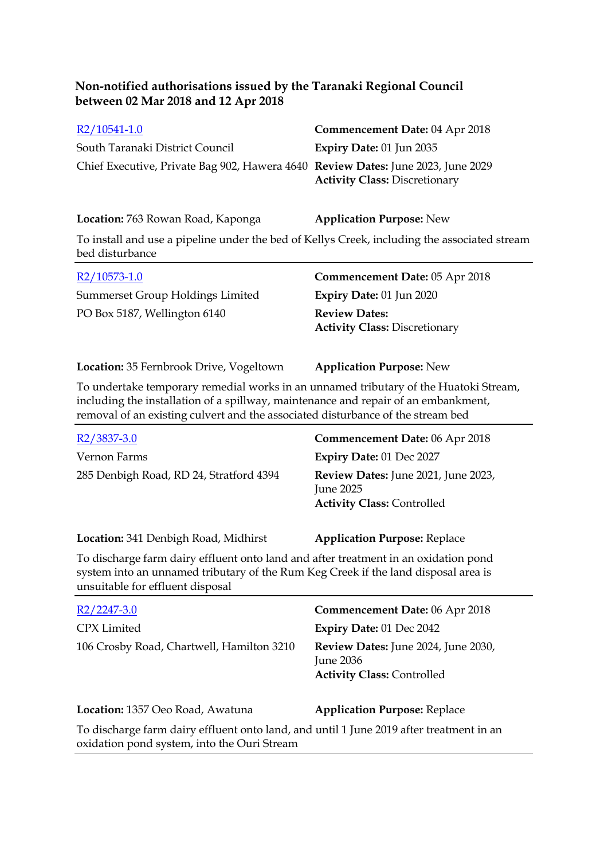| $R2/10541-1.0$                                                                   | <b>Commencement Date: 04 Apr 2018</b> |
|----------------------------------------------------------------------------------|---------------------------------------|
| South Taranaki District Council                                                  | Expiry Date: $01$ Jun 2035            |
| Chief Executive, Private Bag 902, Hawera 4640 Review Dates: June 2023, June 2029 | <b>Activity Class: Discretionary</b>  |

**Location:** 763 Rowan Road, Kaponga **Application Purpose:** New

To install and use a pipeline under the bed of Kellys Creek, including the associated stream bed disturbance

| $R2/10573-1.0$                          | <b>Commencement Date: 05 Apr 2018</b>                        |
|-----------------------------------------|--------------------------------------------------------------|
| <b>Summerset Group Holdings Limited</b> | Expiry Date: $01$ Jun 2020                                   |
| PO Box 5187, Wellington 6140            | <b>Review Dates:</b><br><b>Activity Class: Discretionary</b> |

**Location:** 35 Fernbrook Drive, Vogeltown **Application Purpose:** New

To undertake temporary remedial works in an unnamed tributary of the Huatoki Stream, including the installation of a spillway, maintenance and repair of an embankment, removal of an existing culvert and the associated disturbance of the stream bed

| R <sub>2</sub> /3837-3.0                | <b>Commencement Date: 06 Apr 2018</b>                                                        |
|-----------------------------------------|----------------------------------------------------------------------------------------------|
| Vernon Farms                            | <b>Expiry Date: 01 Dec 2027</b>                                                              |
| 285 Denbigh Road, RD 24, Stratford 4394 | <b>Review Dates:</b> June 2021, June 2023,<br>June 2025<br><b>Activity Class: Controlled</b> |

**Location:** 341 Denbigh Road, Midhirst **Application Purpose:** Replace

To discharge farm dairy effluent onto land and after treatment in an oxidation pond system into an unnamed tributary of the Rum Keg Creek if the land disposal area is unsuitable for effluent disposal

| $R2/2247-3.0$                                                                                                                          | Commencement Date: 06 Apr 2018                                                        |
|----------------------------------------------------------------------------------------------------------------------------------------|---------------------------------------------------------------------------------------|
| CPX Limited                                                                                                                            | Expiry Date: 01 Dec 2042                                                              |
| 106 Crosby Road, Chartwell, Hamilton 3210                                                                                              | Review Dates: June 2024, June 2030,<br>June 2036<br><b>Activity Class: Controlled</b> |
| Location: 1357 Oeo Road, Awatuna                                                                                                       | <b>Application Purpose: Replace</b>                                                   |
| To discharge farm dairy effluent onto land, and until 1 June 2019 after treatment in an<br>oxidation pond system, into the Ouri Stream |                                                                                       |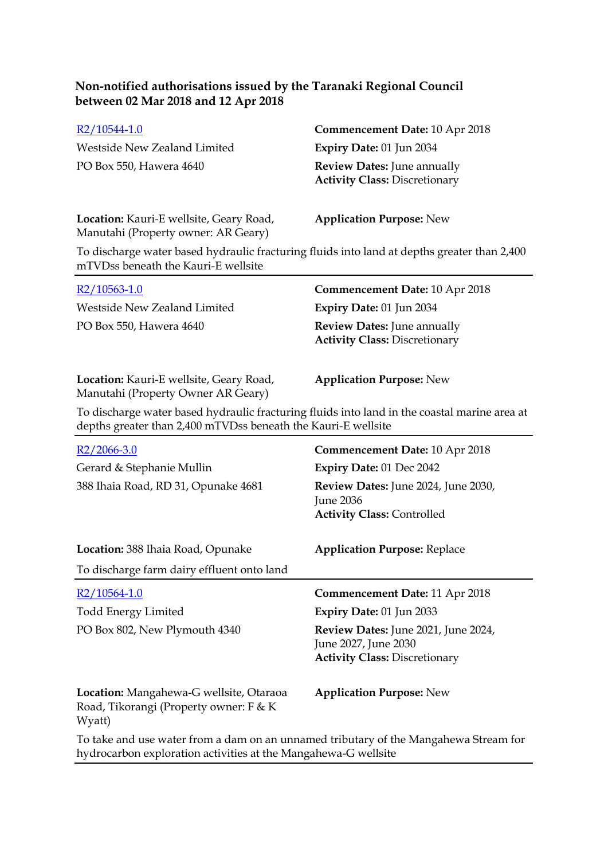| $R2/10544-1.0$               | <b>Commencement Date: 10 Apr 2018</b>                                      |
|------------------------------|----------------------------------------------------------------------------|
| Westside New Zealand Limited | Expiry Date: $01$ Jun 2034                                                 |
| PO Box 550, Hawera 4640      | <b>Review Dates:</b> June annually<br><b>Activity Class: Discretionary</b> |

#### **Location:** Kauri-E wellsite, Geary Road, Manutahi (Property owner: AR Geary)

**Application Purpose:** New

To discharge water based hydraulic fracturing fluids into land at depths greater than 2,400 mTVDss beneath the Kauri-E wellsite

| $R2/10563-1.0$               | <b>Commencement Date: 10 Apr 2018</b>                                      |
|------------------------------|----------------------------------------------------------------------------|
| Westside New Zealand Limited | <b>Expiry Date: 01 Jun 2034</b>                                            |
| PO Box 550, Hawera 4640      | <b>Review Dates:</b> June annually<br><b>Activity Class: Discretionary</b> |
|                              |                                                                            |

**Location:** Kauri-E wellsite, Geary Road, Manutahi (Property Owner AR Geary)

**Application Purpose:** New

To discharge water based hydraulic fracturing fluids into land in the coastal marine area at depths greater than 2,400 mTVDss beneath the Kauri-E wellsite

| $R2/2066-3.0$<br>Gerard & Stephanie Mullin<br>388 Ihaia Road, RD 31, Opunake 4681           | Commencement Date: 10 Apr 2018<br><b>Expiry Date: 01 Dec 2042</b><br>Review Dates: June 2024, June 2030,<br><b>June 2036</b><br><b>Activity Class: Controlled</b>               |
|---------------------------------------------------------------------------------------------|---------------------------------------------------------------------------------------------------------------------------------------------------------------------------------|
| Location: 388 Ihaia Road, Opunake<br>To discharge farm dairy effluent onto land             | <b>Application Purpose: Replace</b>                                                                                                                                             |
| $R2/10564-1.0$<br><b>Todd Energy Limited</b><br>PO Box 802, New Plymouth 4340               | <b>Commencement Date: 11 Apr 2018</b><br><b>Expiry Date: 01 Jun 2033</b><br>Review Dates: June 2021, June 2024,<br>June 2027, June 2030<br><b>Activity Class: Discretionary</b> |
| Location: Mangahewa-G wellsite, Otaraoa<br>Road, Tikorangi (Property owner: F & K<br>Wyatt) | <b>Application Purpose: New</b>                                                                                                                                                 |
|                                                                                             |                                                                                                                                                                                 |

To take and use water from a dam on an unnamed tributary of the Mangahewa Stream for hydrocarbon exploration activities at the Mangahewa-G wellsite